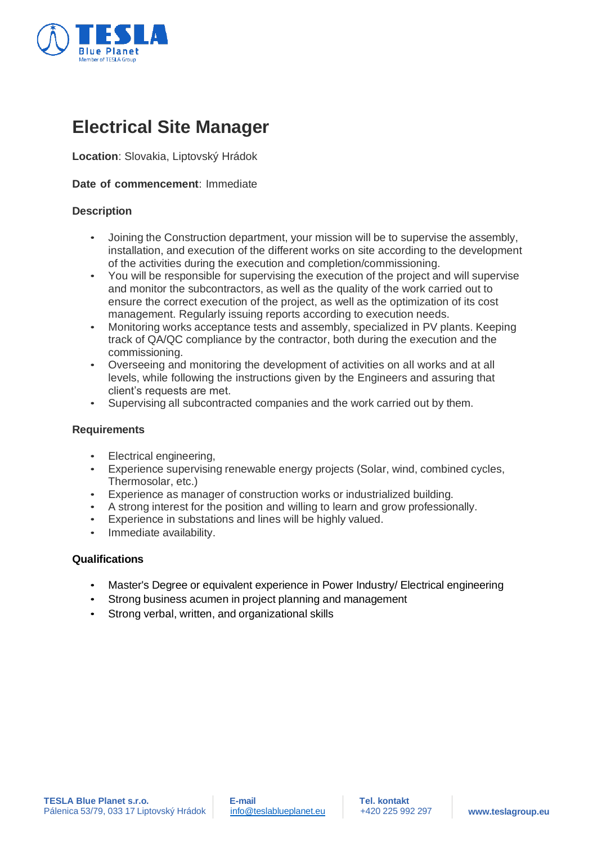

# **Electrical Site Manager**

**Location**: Slovakia, Liptovský Hrádok

# **Date of commencement**: Immediate

# **Description**

- Joining the Construction department, your mission will be to supervise the assembly, installation, and execution of the different works on site according to the development of the activities during the execution and completion/commissioning.
- You will be responsible for supervising the execution of the project and will supervise and monitor the subcontractors, as well as the quality of the work carried out to ensure the correct execution of the project, as well as the optimization of its cost management. Regularly issuing reports according to execution needs.
- Monitoring works acceptance tests and assembly, specialized in PV plants. Keeping track of QA/QC compliance by the contractor, both during the execution and the commissioning.
- Overseeing and monitoring the development of activities on all works and at all levels, while following the instructions given by the Engineers and assuring that client's requests are met.
- Supervising all subcontracted companies and the work carried out by them.

#### **Requirements**

- Electrical engineering.
- Experience supervising renewable energy projects (Solar, wind, combined cycles, Thermosolar, etc.)
- Experience as manager of construction works or industrialized building.
- A strong interest for the position and willing to learn and grow professionally.
- Experience in substations and lines will be highly valued.
- Immediate availability.

# **Qualifications**

- Master's Degree or equivalent experience in Power Industry/ Electrical engineering
- Strong business acumen in project planning and management
- Strong verbal, written, and organizational skills